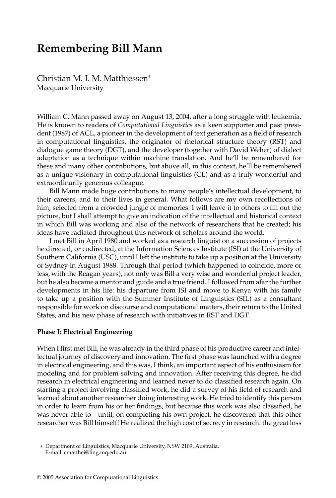# **Remembering Bill Mann**

Christian M. I. M. Matthiessen<sup>∗</sup> Macquarie University

William C. Mann passed away on August 13, 2004, after a long struggle with leukemia. He is known to readers of *Computational Linguistics* as a keen supporter and past president (1987) of ACL, a pioneer in the development of text generation as a field of research in computational linguistics, the originator of rhetorical structure theory (RST) and dialogue game theory (DGT), and the developer (together with David Weber) of dialect adaptation as a technique within machine translation. And he'll be remembered for these and many other contributions, but above all, in this context, he'll be remembered as a unique visionary in computational linguistics (CL) and as a truly wonderful and extraordinarily generous colleague.

Bill Mann made huge contributions to many people's intellectual development, to their careers, and to their lives in general. What follows are my own recollections of him, selected from a crowded jungle of memories. I will leave it to others to fill out the picture, but I shall attempt to give an indication of the intellectual and historical context in which Bill was working and also of the network of researchers that he created; his ideas have radiated throughout this network of scholars around the world.

I met Bill in April 1980 and worked as a research linguist on a succession of projects he directed, or codirected, at the Information Sciences Institute (ISI) at the University of Southern California (USC), until I left the institute to take up a position at the University of Sydney in August 1988. Through that period (which happened to coincide, more or less, with the Reagan years), not only was Bill a very wise and wonderful project leader, but he also became a mentor and guide and a true friend. I followed from afar the further developments in his life: his departure from ISI and move to Kenya with his family to take up a position with the Summer Institute of Linguistics (SIL) as a consultant responsible for work on discourse and computational matters, their return to the United States, and his new phase of research with initiatives in RST and DGT.

#### **Phase I: Electrical Engineering**

When I first met Bill, he was already in the third phase of his productive career and intellectual journey of discovery and innovation. The first phase was launched with a degree in electrical engineering, and this was, I think, an important aspect of his enthusiasm for modeling and for problem solving and innovation. After receiving this degree, he did research in electrical engineering and learned never to do classified research again. On starting a project involving classified work, he did a survey of his field of research and learned about another researcher doing interesting work. He tried to identify this person in order to learn from his or her findings, but because this work was also classified, he was never able to—until, on completing his own project, he discovered that this other researcher was Bill himself! He realized the high cost of secrecy in research: the great loss

<sup>∗</sup> Department of Linguistics, Macquarie University, NSW 2109, Australia. E-mail: cmatthei@ling.mq.edu.au.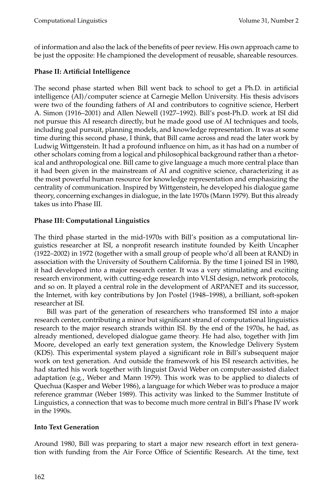of information and also the lack of the benefits of peer review. His own approach came to be just the opposite: He championed the development of reusable, shareable resources.

# **Phase II: Artificial Intelligence**

The second phase started when Bill went back to school to get a Ph.D. in artificial intelligence (AI)/computer science at Carnegie Mellon University. His thesis advisors were two of the founding fathers of AI and contributors to cognitive science, Herbert A. Simon (1916–2001) and Allen Newell (1927–1992). Bill's post-Ph.D. work at ISI did not pursue this AI research directly, but he made good use of AI techniques and tools, including goal pursuit, planning models, and knowledge representation. It was at some time during this second phase, I think, that Bill came across and read the later work by Ludwig Wittgenstein. It had a profound influence on him, as it has had on a number of other scholars coming from a logical and philosophical background rather than a rhetorical and anthropological one. Bill came to give language a much more central place than it had been given in the mainstream of AI and cognitive science, characterizing it as the most powerful human resource for knowledge representation and emphasizing the centrality of communication. Inspired by Wittgenstein, he developed his dialogue game theory, concerning exchanges in dialogue, in the late 1970s (Mann 1979). But this already takes us into Phase III.

# **Phase III: Computational Linguistics**

The third phase started in the mid-1970s with Bill's position as a computational linguistics researcher at ISI, a nonprofit research institute founded by Keith Uncapher (1922–2002) in 1972 (together with a small group of people who'd all been at RAND) in association with the University of Southern California. By the time I joined ISI in 1980, it had developed into a major research center. It was a very stimulating and exciting research environment, with cutting-edge research into VLSI design, network protocols, and so on. It played a central role in the development of ARPANET and its successor, the Internet, with key contributions by Jon Postel (1948–1998), a brilliant, soft-spoken researcher at ISI.

Bill was part of the generation of researchers who transformed ISI into a major research center, contributing a minor but significant strand of computational linguistics research to the major research strands within ISI. By the end of the 1970s, he had, as already mentioned, developed dialogue game theory. He had also, together with Jim Moore, developed an early text generation system, the Knowledge Delivery System (KDS). This experimental system played a significant role in Bill's subsequent major work on text generation. And outside the framework of his ISI research activities, he had started his work together with linguist David Weber on computer-assisted dialect adaptation (e.g., Weber and Mann 1979). This work was to be applied to dialects of Quechua (Kasper and Weber 1986), a language for which Weber was to produce a major reference grammar (Weber 1989). This activity was linked to the Summer Institute of Linguistics, a connection that was to become much more central in Bill's Phase IV work in the 1990s.

# **Into Text Generation**

Around 1980, Bill was preparing to start a major new research effort in text generation with funding from the Air Force Office of Scientific Research. At the time, text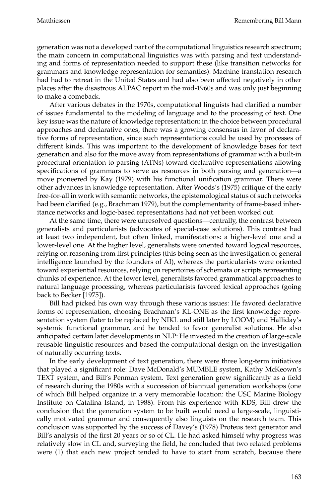generation was not a developed part of the computational linguistics research spectrum; the main concern in computational linguistics was with parsing and text understanding and forms of representation needed to support these (like transition networks for grammars and knowledge representation for semantics). Machine translation research had had to retreat in the United States and had also been affected negatively in other places after the disastrous ALPAC report in the mid-1960s and was only just beginning to make a comeback.

After various debates in the 1970s, computational linguists had clarified a number of issues fundamental to the modeling of language and to the processing of text. One key issue was the nature of knowledge representation: in the choice between procedural approaches and declarative ones, there was a growing consensus in favor of declarative forms of representation, since such representations could be used by processes of different kinds. This was important to the development of knowledge bases for text generation and also for the move away from representations of grammar with a built-in procedural orientation to parsing (ATNs) toward declarative representations allowing specifications of grammars to serve as resources in both parsing and generation—a move pioneered by Kay (1979) with his functional unification grammar. There were other advances in knowledge representation. After Woods's (1975) critique of the early free-for-all in work with semantic networks, the epistemological status of such networks had been clarified (e.g., Brachman 1979), but the complementarity of frame-based inheritance networks and logic-based representations had not yet been worked out.

At the same time, there were unresolved questions—centrally, the contrast between generalists and particularists (advocates of special-case solutions). This contrast had at least two independent, but often linked, manifestations: a higher-level one and a lower-level one. At the higher level, generalists were oriented toward logical resources, relying on reasoning from first principles (this being seen as the investigation of general intelligence launched by the founders of AI), whereas the particularists were oriented toward experiential resources, relying on repertoires of schemata or scripts representing chunks of experience. At the lower level, generalists favored grammatical approaches to natural language processing, whereas particularists favored lexical approaches (going back to Becker [1975]).

Bill had picked his own way through these various issues: He favored declarative forms of representation, choosing Brachman's KL-ONE as the first knowledge representation system (later to be replaced by NIKL and still later by LOOM) and Halliday's systemic functional grammar, and he tended to favor generalist solutions. He also anticipated certain later developments in NLP: He invested in the creation of large-scale reusable linguistic resources and based the computational design on the investigation of naturally occurring texts.

In the early development of text generation, there were three long-term initiatives that played a significant role: Dave McDonald's MUMBLE system, Kathy McKeown's TEXT system, and Bill's Penman system. Text generation grew significantly as a field of research during the 1980s with a succession of biannual generation workshops (one of which Bill helped organize in a very memorable location: the USC Marine Biology Institute on Catalina Island, in 1988). From his experience with KDS, Bill drew the conclusion that the generation system to be built would need a large-scale, linguistically motivated grammar and consequently also linguists on the research team. This conclusion was supported by the success of Davey's (1978) Proteus text generator and Bill's analysis of the first 20 years or so of CL. He had asked himself why progress was relatively slow in CL and, surveying the field, he concluded that two related problems were (1) that each new project tended to have to start from scratch, because there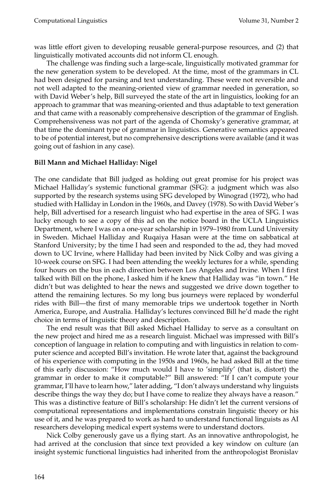was little effort given to developing reusable general-purpose resources, and (2) that linguistically motivated accounts did not inform CL enough.

The challenge was finding such a large-scale, linguistically motivated grammar for the new generation system to be developed. At the time, most of the grammars in CL had been designed for parsing and text understanding. These were not reversible and not well adapted to the meaning-oriented view of grammar needed in generation, so with David Weber's help, Bill surveyed the state of the art in linguistics, looking for an approach to grammar that was meaning-oriented and thus adaptable to text generation and that came with a reasonably comprehensive description of the grammar of English. Comprehensiveness was not part of the agenda of Chomsky's generative grammar, at that time the dominant type of grammar in linguistics. Generative semantics appeared to be of potential interest, but no comprehensive descriptions were available (and it was going out of fashion in any case).

## **Bill Mann and Michael Halliday: Nigel**

The one candidate that Bill judged as holding out great promise for his project was Michael Halliday's systemic functional grammar (SFG): a judgment which was also supported by the research systems using SFG developed by Winograd (1972), who had studied with Halliday in London in the 1960s, and Davey (1978). So with David Weber's help, Bill advertised for a research linguist who had expertise in the area of SFG. I was lucky enough to see a copy of this ad on the notice board in the UCLA Linguistics Department, where I was on a one-year scholarship in 1979–1980 from Lund University in Sweden. Michael Halliday and Ruqaiya Hasan were at the time on sabbatical at Stanford University; by the time I had seen and responded to the ad, they had moved down to UC Irvine, where Halliday had been invited by Nick Colby and was giving a 10-week course on SFG. I had been attending the weekly lectures for a while, spending four hours on the bus in each direction between Los Angeles and Irvine. When I first talked with Bill on the phone, I asked him if he knew that Halliday was "in town." He didn't but was delighted to hear the news and suggested we drive down together to attend the remaining lectures. So my long bus journeys were replaced by wonderful rides with Bill—the first of many memorable trips we undertook together in North America, Europe, and Australia. Halliday's lectures convinced Bill he'd made the right choice in terms of linguistic theory and description.

The end result was that Bill asked Michael Halliday to serve as a consultant on the new project and hired me as a research linguist. Michael was impressed with Bill's conception of language in relation to computing and with linguistics in relation to computer science and accepted Bill's invitation. He wrote later that, against the background of his experience with computing in the 1950s and 1960s, he had asked Bill at the time of this early discussion: "How much would I have to 'simplify' (that is, distort) the grammar in order to make it computable?" Bill answered: "If I can't compute your grammar, I'll have to learn how," later adding, "I don't always understand why linguists describe things the way they do; but I have come to realize they always have a reason." This was a distinctive feature of Bill's scholarship: He didn't let the current versions of computational representations and implementations constrain linguistic theory or his use of it, and he was prepared to work as hard to understand functional linguists as AI researchers developing medical expert systems were to understand doctors.

Nick Colby generously gave us a flying start. As an innovative anthropologist, he had arrived at the conclusion that since text provided a key window on culture (an insight systemic functional linguistics had inherited from the anthropologist Bronislav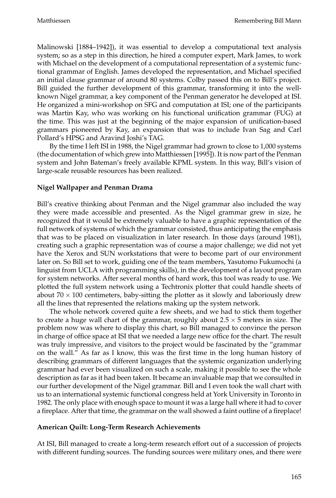Malinowski [1884–1942]), it was essential to develop a computational text analysis system; so as a step in this direction, he hired a computer expert, Mark James, to work with Michael on the development of a computational representation of a systemic functional grammar of English. James developed the representation, and Michael specified an initial clause grammar of around 80 systems. Colby passed this on to Bill's project. Bill guided the further development of this grammar, transforming it into the wellknown Nigel grammar, a key component of the Penman generator he developed at ISI. He organized a mini-workshop on SFG and computation at ISI; one of the participants was Martin Kay, who was working on his functional unification grammar (FUG) at the time. This was just at the beginning of the major expansion of unification-based grammars pioneered by Kay, an expansion that was to include Ivan Sag and Carl Pollard's HPSG and Aravind Joshi's TAG.

By the time I left ISI in 1988, the Nigel grammar had grown to close to 1,000 systems (the documentation of which grew into Matthiessen [1995]). It is now part of the Penman system and John Bateman's freely available KPML system. In this way, Bill's vision of large-scale reusable resources has been realized.

## **Nigel Wallpaper and Penman Drama**

Bill's creative thinking about Penman and the Nigel grammar also included the way they were made accessible and presented. As the Nigel grammar grew in size, he recognized that it would be extremely valuable to have a graphic representation of the full network of systems of which the grammar consisted, thus anticipating the emphasis that was to be placed on visualization in later research. In those days (around 1981), creating such a graphic representation was of course a major challenge; we did not yet have the Xerox and SUN workstations that were to become part of our environment later on. So Bill set to work, guiding one of the team members, Yasutomo Fukumochi (a linguist from UCLA with programming skills), in the development of a layout program for system networks. After several months of hard work, this tool was ready to use. We plotted the full system network using a Techtronix plotter that could handle sheets of about  $70 \times 100$  centimeters, baby-sitting the plotter as it slowly and laboriously drew all the lines that represented the relations making up the system network.

The whole network covered quite a few sheets, and we had to stick them together to create a huge wall chart of the grammar, roughly about  $2.5 \times 5$  meters in size. The problem now was where to display this chart, so Bill managed to convince the person in charge of office space at ISI that we needed a large new office for the chart. The result was truly impressive, and visitors to the project would be fascinated by the "grammar on the wall." As far as I know, this was the first time in the long human history of describing grammars of different languages that the systemic organization underlying grammar had ever been visualized on such a scale, making it possible to see the whole description as far as it had been taken. It became an invaluable map that we consulted in our further development of the Nigel grammar. Bill and I even took the wall chart with us to an international systemic functional congress held at York University in Toronto in 1982. The only place with enough space to mount it was a large hall where it had to cover a fireplace. After that time, the grammar on the wall showed a faint outline of a fireplace!

## **American Quilt: Long-Term Research Achievements**

At ISI, Bill managed to create a long-term research effort out of a succession of projects with different funding sources. The funding sources were military ones, and there were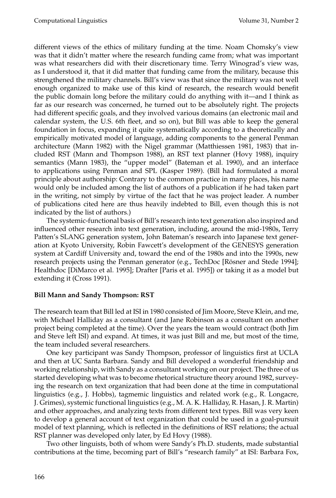different views of the ethics of military funding at the time. Noam Chomsky's view was that it didn't matter where the research funding came from; what was important was what researchers did with their discretionary time. Terry Winograd's view was, as I understood it, that it did matter that funding came from the military, because this strengthened the military channels. Bill's view was that since the military was not well enough organized to make use of this kind of research, the research would benefit the public domain long before the military could do anything with it—and I think as far as our research was concerned, he turned out to be absolutely right. The projects had different specific goals, and they involved various domains (an electronic mail and calendar system, the U.S. 6th fleet, and so on), but Bill was able to keep the general foundation in focus, expanding it quite systematically according to a theoretically and empirically motivated model of language, adding components to the general Penman architecture (Mann 1982) with the Nigel grammar (Matthiessen 1981, 1983) that included RST (Mann and Thompson 1988), an RST text planner (Hovy 1988), inquiry semantics (Mann 1983), the "upper model" (Bateman et al. 1990), and an interface to applications using Penman and SPL (Kasper 1989). (Bill had formulated a moral principle about authorship: Contrary to the common practice in many places, his name would only be included among the list of authors of a publication if he had taken part in the writing, not simply by virtue of the fact that he was project leader. A number of publications cited here are thus heavily indebted to Bill, even though this is not indicated by the list of authors.)

The systemic-functional basis of Bill's research into text generation also inspired and influenced other research into text generation, including, around the mid-1980s, Terry Patten's SLANG generation system, John Bateman's research into Japanese text generation at Kyoto University, Robin Fawcett's development of the GENESYS generation system at Cardiff University and, toward the end of the 1980s and into the 1990s, new research projects using the Penman generator (e.g., TechDoc [Rösner and Stede 1994]; Healthdoc [DiMarco et al. 1995]; Drafter [Paris et al. 1995]) or taking it as a model but extending it (Cross 1991).

#### **Bill Mann and Sandy Thompson: RST**

The research team that Bill led at ISI in 1980 consisted of Jim Moore, Steve Klein, and me, with Michael Halliday as a consultant (and Jane Robinson as a consultant on another project being completed at the time). Over the years the team would contract (both Jim and Steve left ISI) and expand. At times, it was just Bill and me, but most of the time, the team included several researchers.

One key participant was Sandy Thompson, professor of linguistics first at UCLA and then at UC Santa Barbara. Sandy and Bill developed a wonderful friendship and working relationship, with Sandy as a consultant working on our project. The three of us started developing what was to become rhetorical structure theory around 1982, surveying the research on text organization that had been done at the time in computational linguistics (e.g., J. Hobbs), tagmemic linguistics and related work (e.g., R. Longacre, J. Grimes), systemic functional linguistics (e.g., M. A. K. Halliday, R. Hasan, J. R. Martin) and other approaches, and analyzing texts from different text types. Bill was very keen to develop a general account of text organization that could be used in a goal-pursuit model of text planning, which is reflected in the definitions of RST relations; the actual RST planner was developed only later, by Ed Hovy (1988).

Two other linguists, both of whom were Sandy's Ph.D. students, made substantial contributions at the time, becoming part of Bill's "research family" at ISI: Barbara Fox,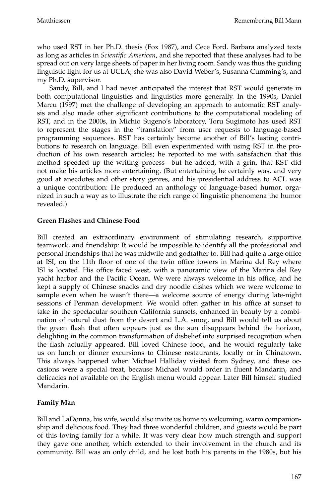who used RST in her Ph.D. thesis (Fox 1987), and Cece Ford. Barbara analyzed texts as long as articles in *Scientific American*, and she reported that these analyses had to be spread out on very large sheets of paper in her living room. Sandy was thus the guiding linguistic light for us at UCLA; she was also David Weber's, Susanna Cumming's, and my Ph.D. supervisor.

Sandy, Bill, and I had never anticipated the interest that RST would generate in both computational linguistics and linguistics more generally. In the 1990s, Daniel Marcu (1997) met the challenge of developing an approach to automatic RST analysis and also made other significant contributions to the computational modeling of RST, and in the 2000s, in Michio Sugeno's laboratory, Toru Sugimoto has used RST to represent the stages in the "translation" from user requests to language-based programming sequences. RST has certainly become another of Bill's lasting contributions to research on language. Bill even experimented with using RST in the production of his own research articles; he reported to me with satisfaction that this method speeded up the writing process—but he added, with a grin, that RST did not make his articles more entertaining. (But entertaining he certainly was, and very good at anecdotes and other story genres, and his presidential address to ACL was a unique contribution: He produced an anthology of language-based humor, organized in such a way as to illustrate the rich range of linguistic phenomena the humor revealed.)

## **Green Flashes and Chinese Food**

Bill created an extraordinary environment of stimulating research, supportive teamwork, and friendship: It would be impossible to identify all the professional and personal friendships that he was midwife and godfather to. Bill had quite a large office at ISI, on the 11th floor of one of the twin office towers in Marina del Rey where ISI is located. His office faced west, with a panoramic view of the Marina del Rey yacht harbor and the Pacific Ocean. We were always welcome in his office, and he kept a supply of Chinese snacks and dry noodle dishes which we were welcome to sample even when he wasn't there—a welcome source of energy during late-night sessions of Penman development. We would often gather in his office at sunset to take in the spectacular southern California sunsets, enhanced in beauty by a combination of natural dust from the desert and L.A. smog, and Bill would tell us about the green flash that often appears just as the sun disappears behind the horizon, delighting in the common transformation of disbelief into surprised recognition when the flash actually appeared. Bill loved Chinese food, and he would regularly take us on lunch or dinner excursions to Chinese restaurants, locally or in Chinatown. This always happened when Michael Halliday visited from Sydney, and these occasions were a special treat, because Michael would order in fluent Mandarin, and delicacies not available on the English menu would appear. Later Bill himself studied Mandarin.

## **Family Man**

Bill and LaDonna, his wife, would also invite us home to welcoming, warm companionship and delicious food. They had three wonderful children, and guests would be part of this loving family for a while. It was very clear how much strength and support they gave one another, which extended to their involvement in the church and its community. Bill was an only child, and he lost both his parents in the 1980s, but his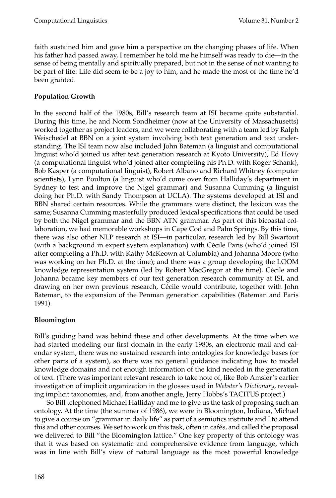faith sustained him and gave him a perspective on the changing phases of life. When his father had passed away, I remember he told me he himself was ready to die—in the sense of being mentally and spiritually prepared, but not in the sense of not wanting to be part of life: Life did seem to be a joy to him, and he made the most of the time he'd been granted.

# **Population Growth**

In the second half of the 1980s, Bill's research team at ISI became quite substantial. During this time, he and Norm Sondheimer (now at the University of Massachusetts) worked together as project leaders, and we were collaborating with a team led by Ralph Weischedel at BBN on a joint system involving both text generation and text understanding. The ISI team now also included John Bateman (a linguist and computational linguist who'd joined us after text generation research at Kyoto University), Ed Hovy (a computational linguist who'd joined after completing his Ph.D. with Roger Schank), Bob Kasper (a computational linguist), Robert Albano and Richard Whitney (computer scientists), Lynn Poulton (a linguist who'd come over from Halliday's department in Sydney to test and improve the Nigel grammar) and Susanna Cumming (a linguist doing her Ph.D. with Sandy Thompson at UCLA). The systems developed at ISI and BBN shared certain resources. While the grammars were distinct, the lexicon was the same; Susanna Cumming masterfully produced lexical specifications that could be used by both the Nigel grammar and the BBN ATN grammar. As part of this bicoastal collaboration, we had memorable workshops in Cape Cod and Palm Springs. By this time, there was also other NLP research at ISI—in particular, research led by Bill Swartout (with a background in expert system explanation) with Cécile Paris (who'd joined ISI after completing a Ph.D. with Kathy McKeown at Columbia) and Johanna Moore (who was working on her Ph.D. at the time); and there was a group developing the LOOM knowledge representation system (led by Robert MacGregor at the time). Cécile and Johanna became key members of our text generation research community at ISI, and drawing on her own previous research, Cecile would contribute, together with John ´ Bateman, to the expansion of the Penman generation capabilities (Bateman and Paris 1991).

## **Bloomington**

Bill's guiding hand was behind these and other developments. At the time when we had started modeling our first domain in the early 1980s, an electronic mail and calendar system, there was no sustained research into ontologies for knowledge bases (or other parts of a system), so there was no general guidance indicating how to model knowledge domains and not enough information of the kind needed in the generation of text. (There was important relevant research to take note of, like Bob Amsler's earlier investigation of implicit organization in the glosses used in *Webster's Dictionary,* revealing implicit taxonomies, and, from another angle, Jerry Hobbs's TACITUS project.)

So Bill telephoned Michael Halliday and me to give us the task of proposing such an ontology. At the time (the summer of 1986), we were in Bloomington, Indiana, Michael to give a course on "grammar in daily life" as part of a semiotics institute and I to attend this and other courses. We set to work on this task, often in cafés, and called the proposal we delivered to Bill "the Bloomington lattice." One key property of this ontology was that it was based on systematic and comprehensive evidence from language, which was in line with Bill's view of natural language as the most powerful knowledge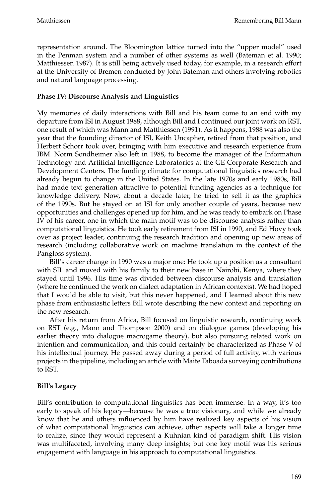representation around. The Bloomington lattice turned into the "upper model" used in the Penman system and a number of other systems as well (Bateman et al. 1990; Matthiessen 1987). It is still being actively used today, for example, in a research effort at the University of Bremen conducted by John Bateman and others involving robotics and natural language processing.

## **Phase IV: Discourse Analysis and Linguistics**

My memories of daily interactions with Bill and his team come to an end with my departure from ISI in August 1988, although Bill and I continued our joint work on RST, one result of which was Mann and Matthiessen (1991). As it happens, 1988 was also the year that the founding director of ISI, Keith Uncapher, retired from that position, and Herbert Schorr took over, bringing with him executive and research experience from IBM. Norm Sondheimer also left in 1988, to become the manager of the Information Technology and Artificial Intelligence Laboratories at the GE Corporate Research and Development Centers. The funding climate for computational linguistics research had already begun to change in the United States. In the late 1970s and early 1980s, Bill had made text generation attractive to potential funding agencies as a technique for knowledge delivery. Now, about a decade later, he tried to sell it as the graphics of the 1990s. But he stayed on at ISI for only another couple of years, because new opportunities and challenges opened up for him, and he was ready to embark on Phase IV of his career, one in which the main motif was to be discourse analysis rather than computational linguistics. He took early retirement from ISI in 1990, and Ed Hovy took over as project leader, continuing the research tradition and opening up new areas of research (including collaborative work on machine translation in the context of the Pangloss system).

Bill's career change in 1990 was a major one: He took up a position as a consultant with SIL and moved with his family to their new base in Nairobi, Kenya, where they stayed until 1996. His time was divided between discourse analysis and translation (where he continued the work on dialect adaptation in African contexts). We had hoped that I would be able to visit, but this never happened, and I learned about this new phase from enthusiastic letters Bill wrote describing the new context and reporting on the new research.

After his return from Africa, Bill focused on linguistic research, continuing work on RST (e.g., Mann and Thompson 2000) and on dialogue games (developing his earlier theory into dialogue macrogame theory), but also pursuing related work on intention and communication, and this could certainly be characterized as Phase V of his intellectual journey. He passed away during a period of full activity, with various projects in the pipeline, including an article with Maite Taboada surveying contributions to RST.

## **Bill's Legacy**

Bill's contribution to computational linguistics has been immense. In a way, it's too early to speak of his legacy—because he was a true visionary, and while we already know that he and others influenced by him have realized key aspects of his vision of what computational linguistics can achieve, other aspects will take a longer time to realize, since they would represent a Kuhnian kind of paradigm shift. His vision was multifaceted, involving many deep insights; but one key motif was his serious engagement with language in his approach to computational linguistics.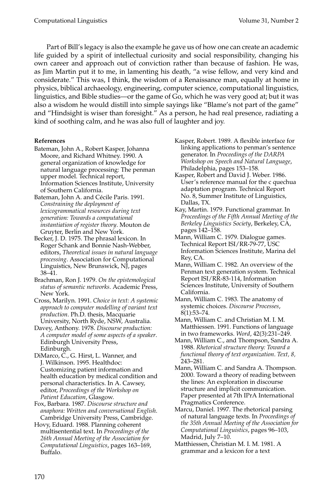Part of Bill's legacy is also the example he gave us of how one can create an academic life guided by a spirit of intellectual curiosity and social responsibility, changing his own career and approach out of conviction rather than because of fashion. He was, as Jim Martin put it to me, in lamenting his death, "a wise fellow, and very kind and considerate." This was, I think, the wisdom of a Renaissance man, equally at home in physics, biblical archaeology, engineering, computer science, computational linguistics, linguistics, and Bible studies—or the game of Go, which he was very good at; but it was also a wisdom he would distill into simple sayings like "Blame's not part of the game" and "Hindsight is wiser than foresight." As a person, he had real presence, radiating a kind of soothing calm, and he was also full of laughter and joy.

## **References**

- Bateman, John A., Robert Kasper, Johanna Moore, and Richard Whitney. 1990. A general organization of knowledge for natural language processing: The penman upper model. Technical report, Information Sciences Institute, University of Southern California.
- Bateman, John A. and Cécile Paris. 1991. *Constraining the deployment of lexicogrammatical resources during text generation: Towards a computational instantiation of register theory*. Mouton de Gruyter, Berlin and New York.
- Becker, J. D. 1975. The phrasal lexicon. In Roger Schank and Bonnie Nash-Webber, editors, *Theoretical issues in natural language processing*. Association for Computational Linguistics, New Brunswick, NJ, pages 38–41.
- Brachman, Ron J. 1979. *On the epistemological status of semantic networks*. Academic Press, New York.
- Cross, Marilyn. 1991. *Choice in text: A systemic approach to computer modelling of variant text production*. Ph.D. thesis, Macquarie University, North Ryde, NSW, Australia.
- Davey, Anthony. 1978. *Discourse production: A computer model of some aspects of a speaker*. Edinburgh University Press, Edinburgh.
- DiMarco, C., G. Hirst, L. Wanner, and J. Wilkinson. 1995. Healthdoc: Customizing patient information and health education by medical condition and personal characteristics. In A. Cawsey, editor, *Proceedings of the Workshop on Patient Education*, Glasgow.
- Fox, Barbara. 1987. *Discourse structure and anaphora: Written and conversational English*. Cambridge University Press, Cambridge.
- Hovy, Eduard. 1988. Planning coherent multisentential text. In *Proceedings of the 26th Annual Meeting of the Association for Computational Linguistics*, pages 163–169, Buffalo.
- Kasper, Robert. 1989. A flexible interface for linking applications to penman's sentence generator. In *Proceedings of the DARPA Workshop on Speech and Natural Language*, Philadelphia, pages 153–158.
- Kasper, Robert and David J. Weber. 1986. User's reference manual for the c quechua adaptation program. Technical Report No. 8, Summer Institute of Linguistics, Dallas, TX.
- Kay, Martin. 1979. Functional grammar. In *Proceedings of the Fifth Annual Meeting of the Berkeley Linguistics Society*, Berkeley, CA, pages 142–158.
- Mann, William C. 1979. Dialogue games. Technical Report ISI/RR-79-77, USC Information Sciences Institute, Marina del Rey, CA.
- Mann, William C. 1982. An overview of the Penman text generation system. Technical Report ISI/RR-83-114, Information Sciences Institute, University of Southern California.
- Mann, William C. 1983. The anatomy of systemic choices. *Discourse Processes*, 8(1):53–74.
- Mann, William C. and Christian M. I. M. Matthiessen. 1991. Functions of language in two frameworks. *Word*, 42(3):231–249.
- Mann, William C., and Thompson, Sandra A. 1988. *Rhetorical structure theory: Toward a functional theory of text organization*. *Text, 8,* 243–281.
- Mann, William C. and Sandra A. Thompson. 2000. Toward a theory of reading between the lines: An exploration in discourse structure and implicit communication. Paper presented at 7th IPrA International Pragmatics Conference.
- Marcu, Daniel. 1997. The rhetorical parsing of natural language texts. In *Proceedings of the 35th Annual Meeting of the Association for Computational Linguistics*, pages 96–103, Madrid, July 7–10.
- Matthiessen, Christian M. I. M. 1981. A grammar and a lexicon for a text